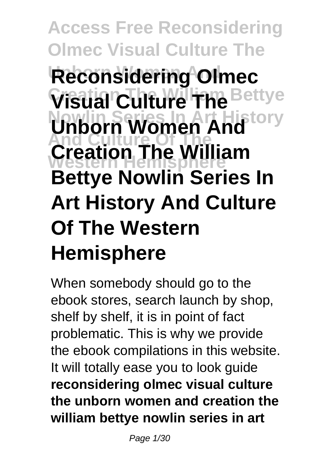# **Access Free Reconsidering Olmec Visual Culture The Reconsidering Olmec Visual Culture The Bettye Nowlin Series In Art History Unborn Women And And Culture Of The Western Hemisphere Creation The William Bettye Nowlin Series In Art History And Culture Of The Western Hemisphere**

When somebody should go to the ebook stores, search launch by shop, shelf by shelf, it is in point of fact problematic. This is why we provide the ebook compilations in this website. It will totally ease you to look guide **reconsidering olmec visual culture the unborn women and creation the william bettye nowlin series in art**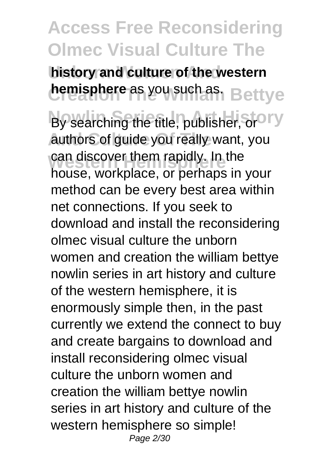**history and culture of the western hemisphere** as you such as. Bettye

By searching the title, publisher, or OTY authors of guide you really want, you can discover them rapidly. In the<br>haves werknlass or parhaps in house, workplace, or perhaps in your method can be every best area within net connections. If you seek to download and install the reconsidering olmec visual culture the unborn women and creation the william bettye nowlin series in art history and culture of the western hemisphere, it is enormously simple then, in the past currently we extend the connect to buy and create bargains to download and install reconsidering olmec visual culture the unborn women and creation the william bettye nowlin series in art history and culture of the western hemisphere so simple! Page 2/30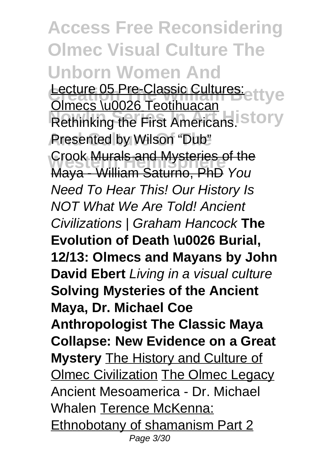**Access Free Reconsidering Olmec Visual Culture The Unborn Women And** Lecture 05 Pre-Classic Cultures:<br>Classes W0026 Testibuseen **Normalist China Community China Control Rethinking the First Americans.** Story **Presented by Wilson "Dub" Crook <del>Murals and Mysteries of the</del>**<br>Mayo, *Millian* Caturea RhD You Olmecs \u0026 Teotihuacan Maya - William Saturno, PhD You Need To Hear This! Our History Is NOT What We Are Told! Ancient Civilizations | Graham Hancock **The Evolution of Death \u0026 Burial, 12/13: Olmecs and Mayans by John David Ebert** Living in a visual culture **Solving Mysteries of the Ancient Maya, Dr. Michael Coe Anthropologist The Classic Maya Collapse: New Evidence on a Great Mystery** The History and Culture of **Olmec Civilization The Olmec Legacy** Ancient Mesoamerica - Dr. Michael Whalen Terence McKenna: Ethnobotany of shamanism Part 2 Page 3/30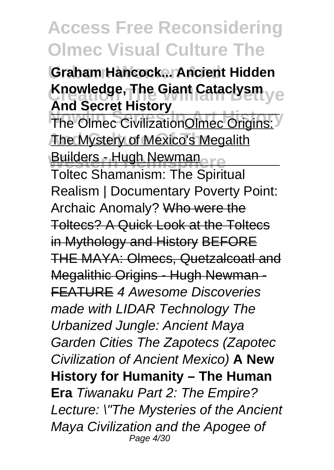**Unborn Women And Graham Hancock... Ancient Hidden Knowledge, The Giant Cataclysm** ye **And Secret History**

**The Olmec CivilizationOlmec Origins: The Mystery of Mexico's Megalith Builders - Hugh Newman** 

Toltec Shamanism: The Spiritual Realism | Documentary Poverty Point: Archaic Anomaly? Who were the Toltecs? A Quick Look at the Toltecs in Mythology and History BEFORE THE MAYA: Olmecs, Quetzalcoatl and Megalithic Origins - Hugh Newman - FEATURE 4 Awesome Discoveries made with LIDAR Technology The Urbanized Jungle: Ancient Maya Garden Cities The Zapotecs (Zapotec Civilization of Ancient Mexico) **A New History for Humanity – The Human Era** Tiwanaku Part 2: The Empire? Lecture: \"The Mysteries of the Ancient Maya Civilization and the Apogee of Page 4/30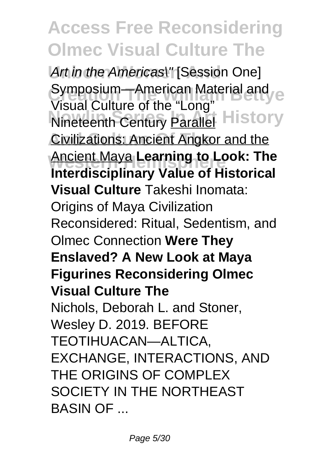Art in the Americas\" [Session One] Symposium—American Material and **Nineteenth Century Parallel History Civilizations: Ancient Angkor and the Western Hemisphere** Ancient Maya **Learning to Look: The** Visual Culture of the "Long" **Interdisciplinary Value of Historical Visual Culture** Takeshi Inomata: Origins of Maya Civilization Reconsidered: Ritual, Sedentism, and Olmec Connection **Were They Enslaved? A New Look at Maya Figurines Reconsidering Olmec Visual Culture The** Nichols, Deborah L. and Stoner, Wesley D. 2019. BEFORE TEOTIHUACAN—ALTICA, EXCHANGE, INTERACTIONS, AND THE ORIGINS OF COMPLEX SOCIETY IN THE NORTHEAST BASIN OF ...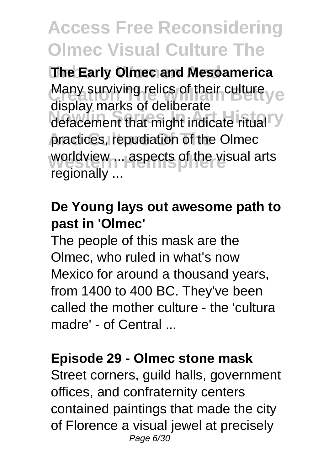**The Early Olmec and Mesoamerica** Many surviving relics of their culture yet defacement that might indicate ritual V practices, repudiation of the Olmec worldview ... aspects of the visual arts display marks of deliberate regionally ...

#### **De Young lays out awesome path to past in 'Olmec'**

The people of this mask are the Olmec, who ruled in what's now Mexico for around a thousand years, from 1400 to 400 BC. They've been called the mother culture - the 'cultura madre' - of Central ...

#### **Episode 29 - Olmec stone mask**

Street corners, guild halls, government offices, and confraternity centers contained paintings that made the city of Florence a visual jewel at precisely Page 6/30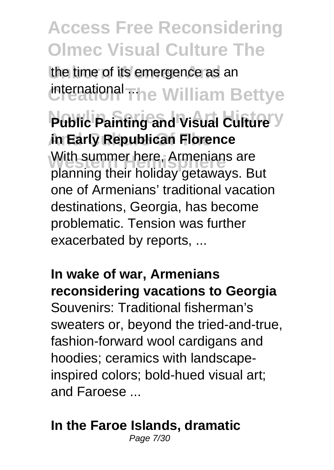the time of its emergence as an international The William Bettye

**Public Painting and Visual Culture** Y **And Culture Of The in Early Republican Florence** With summer here, Armenians are<br>Remains their heliday actorises planning their holiday getaways. But one of Armenians' traditional vacation destinations, Georgia, has become problematic. Tension was further exacerbated by reports, ...

**In wake of war, Armenians reconsidering vacations to Georgia** Souvenirs: Traditional fisherman's sweaters or, beyond the tried-and-true, fashion-forward wool cardigans and hoodies; ceramics with landscapeinspired colors; bold-hued visual art; and Faroese ...

#### **In the Faroe Islands, dramatic**

Page 7/30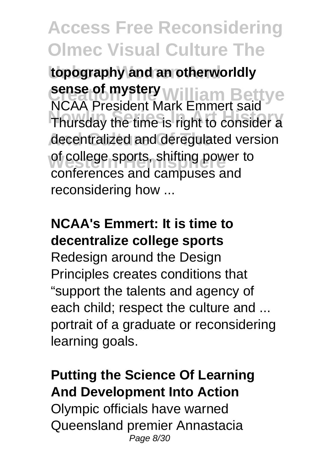**Unborn Women And topography and an otherworldly** sense of mystery **William Bettye Nowlin Series In Art History** Thursday the time is right to consider a decentralized and deregulated version of college sports, shifting power to NCAA President Mark Emmert said conferences and campuses and reconsidering how ...

### **NCAA's Emmert: It is time to decentralize college sports**

Redesign around the Design Principles creates conditions that "support the talents and agency of each child; respect the culture and ... portrait of a graduate or reconsidering learning goals.

### **Putting the Science Of Learning And Development Into Action**

Olympic officials have warned Queensland premier Annastacia Page 8/30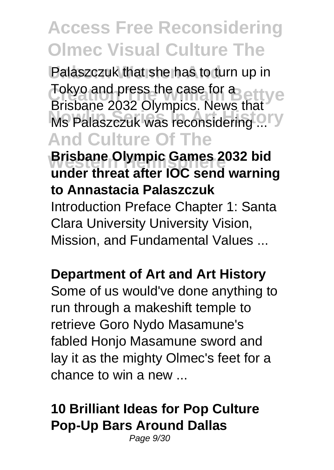Palaszczuk that she has to turn up in Tokyo and press the case for a **Nowland Secrets, Indian Inc.**<br>Ms Palaszczuk was reconsidering ... **And Culture Of The Brisbane Olympic Games 2032 bid**<br> **Western Head office IOC count woman** Brisbane 2032 Olympics. News that **under threat after IOC send warning to Annastacia Palaszczuk** Introduction Preface Chapter 1: Santa Clara University University Vision, Mission, and Fundamental Values ...

#### **Department of Art and Art History**

Some of us would've done anything to run through a makeshift temple to retrieve Goro Nydo Masamune's fabled Honjo Masamune sword and lay it as the mighty Olmec's feet for a chance to win a new ...

### **10 Brilliant Ideas for Pop Culture Pop-Up Bars Around Dallas**

Page 9/30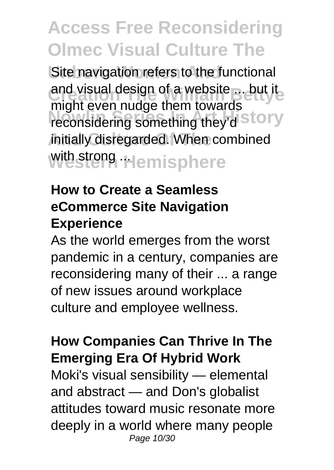Site navigation refers to the functional and visual design of a website ... but it might coordinary about to the reconsidering something they'd Story initially disregarded. When combined with strong **Hemisphere** might even nudge them towards

### **How to Create a Seamless eCommerce Site Navigation Experience**

As the world emerges from the worst pandemic in a century, companies are reconsidering many of their ... a range of new issues around workplace culture and employee wellness.

#### **How Companies Can Thrive In The Emerging Era Of Hybrid Work**

Moki's visual sensibility — elemental and abstract — and Don's globalist attitudes toward music resonate more deeply in a world where many people Page 10/30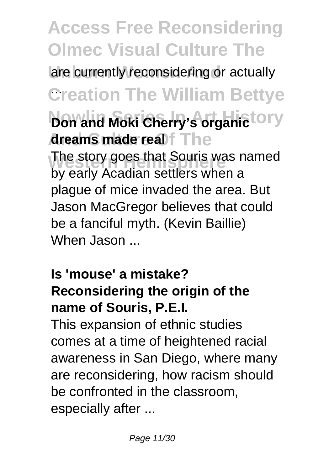**Access Free Reconsidering Olmec Visual Culture The** are currently reconsidering or actually **Creation The William Bettye** ... **Don and Moki Cherry's organic LOTY Areams made real f** The The story goes that Souris was named<br>hydrogik Acadian orthogones by early Acadian settlers when a plague of mice invaded the area. But Jason MacGregor believes that could be a fanciful myth. (Kevin Baillie) When Jason ...

### **Is 'mouse' a mistake? Reconsidering the origin of the name of Souris, P.E.I.**

This expansion of ethnic studies comes at a time of heightened racial awareness in San Diego, where many are reconsidering, how racism should be confronted in the classroom, especially after ...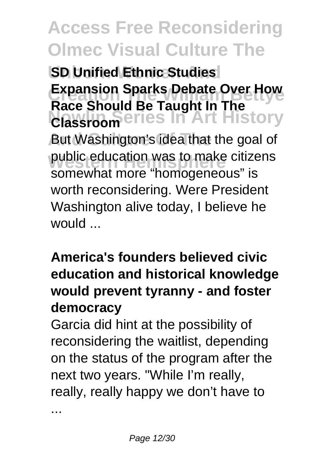**SD Unified Ethnic Studies Expansion Sparks Debate Over How Nowlin Series In Art History** But Washington's idea that the goal of public education was to make citizens **Race Should Be Taught In The Classroom** somewhat more "homogeneous" is worth reconsidering. Were President Washington alive today, I believe he would ...

### **America's founders believed civic education and historical knowledge would prevent tyranny - and foster democracy**

Garcia did hint at the possibility of reconsidering the waitlist, depending on the status of the program after the next two years. "While I'm really, really, really happy we don't have to

...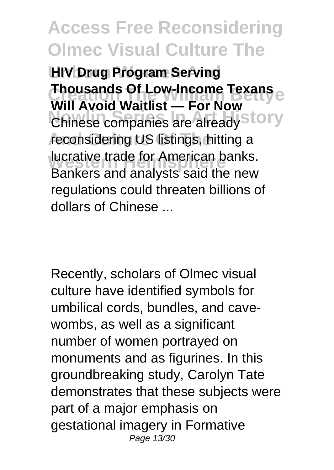**HIV Drug Program Serving Thousands Of Low-Income Texans Chinese companies are already Story** reconsidering US listings, hitting a **Western Hemisphere**<br>Replace and applicit aged the name **Will Avoid Waitlist — For Now** Bankers and analysts said the new regulations could threaten billions of dollars of Chinese ...

Recently, scholars of Olmec visual culture have identified symbols for umbilical cords, bundles, and cavewombs, as well as a significant number of women portrayed on monuments and as figurines. In this groundbreaking study, Carolyn Tate demonstrates that these subjects were part of a major emphasis on gestational imagery in Formative Page 13/30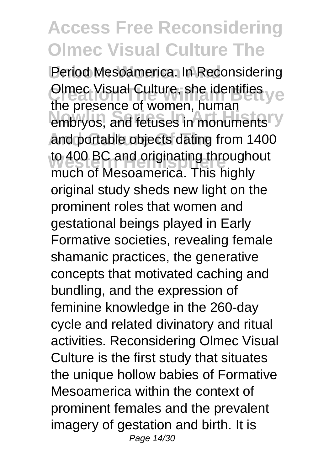Period Mesoamerica. In Reconsidering **Clmec Visual Culture, she identifies yet** and procentic of moments, married in **embryos**, and fetuses in monuments and portable objects dating from 1400 to 400 BC and originating throughout<br>mush of Measomaries, This highly the presence of women, human much of Mesoamerica. This highly original study sheds new light on the prominent roles that women and gestational beings played in Early Formative societies, revealing female shamanic practices, the generative concepts that motivated caching and bundling, and the expression of feminine knowledge in the 260-day cycle and related divinatory and ritual activities. Reconsidering Olmec Visual Culture is the first study that situates the unique hollow babies of Formative Mesoamerica within the context of prominent females and the prevalent imagery of gestation and birth. It is Page 14/30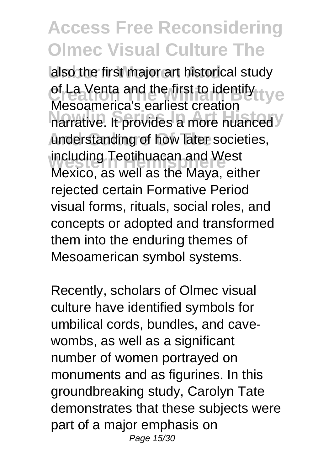also the first major art historical study of La Venta and the first to identify tye messuments of danced values. understanding of how later societies, including Teotihuacan and West Mesoamerica's earliest creation Mexico, as well as the Maya, either rejected certain Formative Period visual forms, rituals, social roles, and concepts or adopted and transformed them into the enduring themes of Mesoamerican symbol systems.

Recently, scholars of Olmec visual culture have identified symbols for umbilical cords, bundles, and cavewombs, as well as a significant number of women portrayed on monuments and as figurines. In this groundbreaking study, Carolyn Tate demonstrates that these subjects were part of a major emphasis on Page 15/30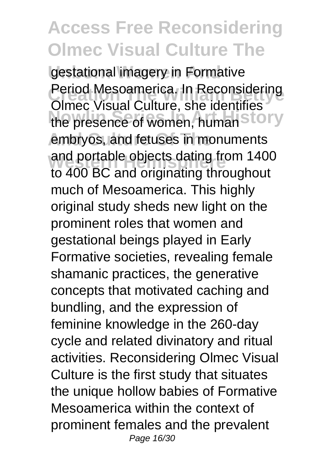gestational imagery in Formative **Period Mesoamerica. In Reconsidering** the presence of women, human Story embryos, and fetuses in monuments and portable objects dating from 1400 Olmec Visual Culture, she identifies to 400 BC and originating throughout much of Mesoamerica. This highly original study sheds new light on the prominent roles that women and gestational beings played in Early Formative societies, revealing female shamanic practices, the generative concepts that motivated caching and bundling, and the expression of feminine knowledge in the 260-day cycle and related divinatory and ritual activities. Reconsidering Olmec Visual Culture is the first study that situates the unique hollow babies of Formative Mesoamerica within the context of prominent females and the prevalent Page 16/30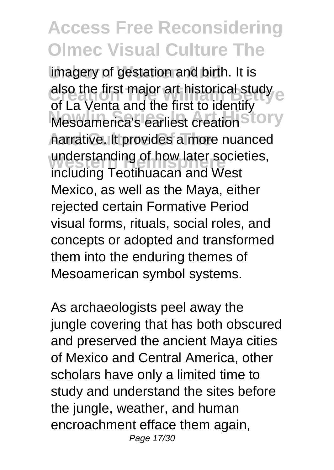imagery of gestation and birth. It is also the first major art historical study experience on the first to identify **Mesoamerica's earliest creation Story And Culture Of The** narrative. It provides a more nuanced understanding of how later societies, of La Venta and the first to identify including Teotihuacan and West Mexico, as well as the Maya, either rejected certain Formative Period visual forms, rituals, social roles, and concepts or adopted and transformed them into the enduring themes of Mesoamerican symbol systems.

As archaeologists peel away the jungle covering that has both obscured and preserved the ancient Maya cities of Mexico and Central America, other scholars have only a limited time to study and understand the sites before the jungle, weather, and human encroachment efface them again, Page 17/30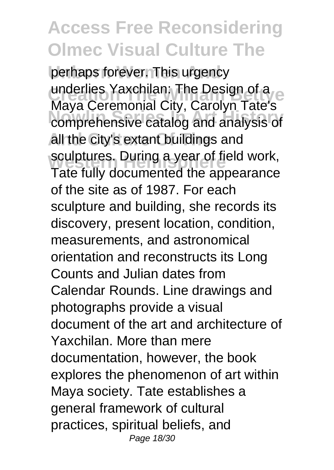perhaps forever. This urgency underlies Yaxchilan: The Design of a **Nowlin Series In Art History** comprehensive catalog and analysis of all the city's extant buildings and sculptures. During a year of field work, Maya Ceremonial City, Carolyn Tate's Tate fully documented the appearance of the site as of 1987. For each sculpture and building, she records its discovery, present location, condition, measurements, and astronomical orientation and reconstructs its Long Counts and Julian dates from Calendar Rounds. Line drawings and photographs provide a visual document of the art and architecture of Yaxchilan. More than mere documentation, however, the book explores the phenomenon of art within Maya society. Tate establishes a general framework of cultural practices, spiritual beliefs, and Page 18/30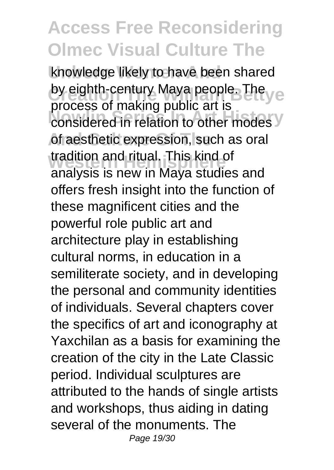knowledge likely to have been shared by eighth-century Maya people. The ye **Considered in relation to other modes** of aesthetic expression, such as oral tradition and ritual. This kind of<br>analysis is new in Maya studies and process of making public art is tradition and ritual. This kind of offers fresh insight into the function of these magnificent cities and the powerful role public art and architecture play in establishing cultural norms, in education in a semiliterate society, and in developing the personal and community identities of individuals. Several chapters cover the specifics of art and iconography at Yaxchilan as a basis for examining the creation of the city in the Late Classic period. Individual sculptures are attributed to the hands of single artists and workshops, thus aiding in dating several of the monuments. The Page 19/30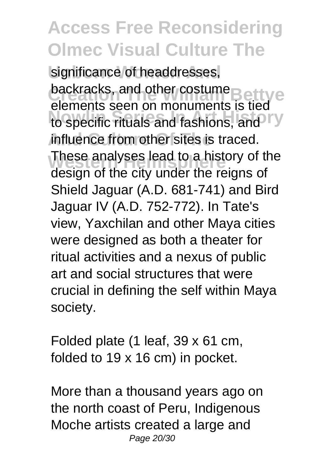significance of headdresses, **Dackracks, and other costume**<br>elements seen on monuments is tied to specific rituals and fashions, and influence from other sites is traced. These analyses lead to a history of the<br>declare of the situated the reigne of backracks, and other costume design of the city under the reigns of Shield Jaguar (A.D. 681-741) and Bird Jaguar IV (A.D. 752-772). In Tate's view, Yaxchilan and other Maya cities were designed as both a theater for ritual activities and a nexus of public art and social structures that were crucial in defining the self within Maya society.

Folded plate (1 leaf, 39 x 61 cm, folded to 19 x 16 cm) in pocket.

More than a thousand years ago on the north coast of Peru, Indigenous Moche artists created a large and Page 20/30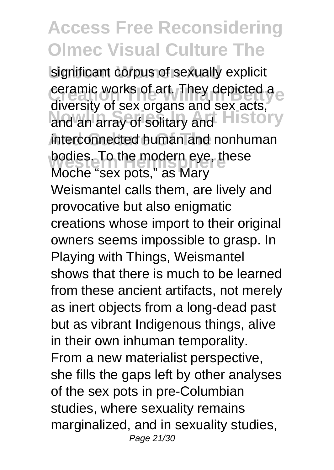significant corpus of sexually explicit **Ceramic works of art. They depicted a** art Brook of Solitary and **History** interconnected human and nonhuman bodies. To the modern eye, these diversity of sex organs and sex acts, Moche "sex pots," as Mary Weismantel calls them, are lively and provocative but also enigmatic creations whose import to their original owners seems impossible to grasp. In Playing with Things, Weismantel shows that there is much to be learned from these ancient artifacts, not merely as inert objects from a long-dead past but as vibrant Indigenous things, alive in their own inhuman temporality. From a new materialist perspective, she fills the gaps left by other analyses of the sex pots in pre-Columbian studies, where sexuality remains marginalized, and in sexuality studies, Page 21/30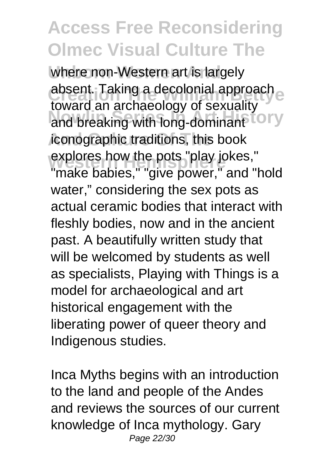where non-Western art is largely **absent.** Taking a decolonial approach and breaking with long-dominant<sup>tory</sup> iconographic traditions, this book explores how the pots "play jokes,"<br>"make habies." "sive nowes "gad." toward an archaeology of sexuality "make babies." "give power." and "hold water," considering the sex pots as actual ceramic bodies that interact with fleshly bodies, now and in the ancient past. A beautifully written study that will be welcomed by students as well as specialists, Playing with Things is a model for archaeological and art historical engagement with the liberating power of queer theory and Indigenous studies.

Inca Myths begins with an introduction to the land and people of the Andes and reviews the sources of our current knowledge of Inca mythology. Gary Page 22/30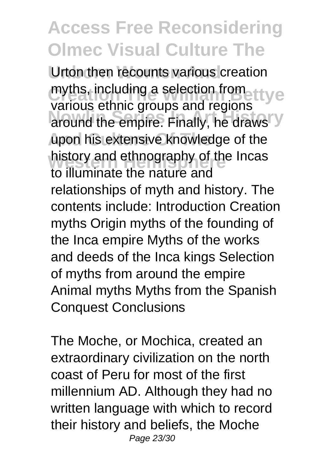Urton then recounts various creation myths, including a selection from the We around the empire. Finally, he draws Y upon his extensive knowledge of the history and ethnography of the Incas various ethnic groups and regions to illuminate the nature and relationships of myth and history. The contents include: Introduction Creation myths Origin myths of the founding of the Inca empire Myths of the works and deeds of the Inca kings Selection of myths from around the empire Animal myths Myths from the Spanish Conquest Conclusions

The Moche, or Mochica, created an extraordinary civilization on the north coast of Peru for most of the first millennium AD. Although they had no written language with which to record their history and beliefs, the Moche Page 23/30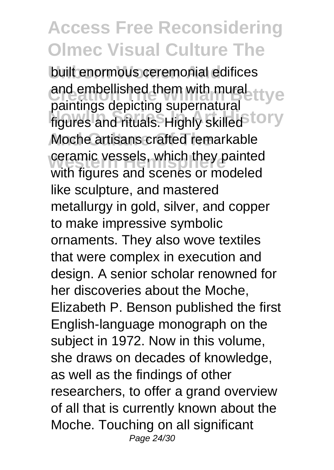built enormous ceremonial edifices and embellished them with mural ttye palmings applying supprinately. Moche artisans crafted remarkable ceramic vessels, which they painted<br>with timing and connect modeled paintings depicting supernatural with figures and scenes or modeled like sculpture, and mastered metallurgy in gold, silver, and copper to make impressive symbolic ornaments. They also wove textiles that were complex in execution and design. A senior scholar renowned for her discoveries about the Moche, Elizabeth P. Benson published the first English-language monograph on the subject in 1972. Now in this volume, she draws on decades of knowledge, as well as the findings of other researchers, to offer a grand overview of all that is currently known about the Moche. Touching on all significant Page 24/30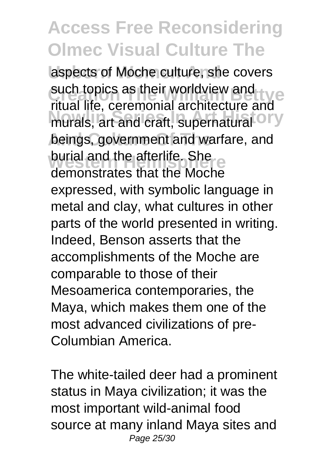aspects of Moche culture, she covers such topics as their worldview and **Such topics** as their worldview and murals, art and craft, supernatural <sup>O</sup>FY beings, government and warfare, and burial and the afterlife. She ritual life, ceremonial architecture and demonstrates that the Moche expressed, with symbolic language in metal and clay, what cultures in other parts of the world presented in writing. Indeed, Benson asserts that the accomplishments of the Moche are comparable to those of their Mesoamerica contemporaries, the Maya, which makes them one of the most advanced civilizations of pre-Columbian America.

The white-tailed deer had a prominent status in Maya civilization; it was the most important wild-animal food source at many inland Maya sites and Page 25/30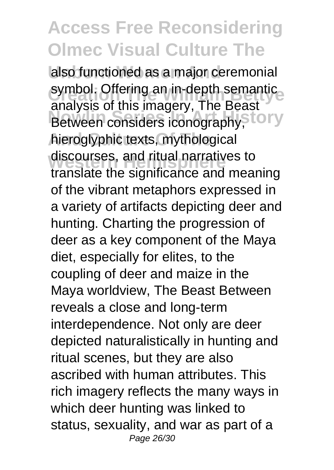also functioned as a major ceremonial symbol. Offering an in-depth semantic<br>conclusion this images: The Peast Between considers iconography,<sup>Story</sup> hieroglyphic texts, mythological discourses, and ritual narratives to analysis of this imagery, The Beast translate the significance and meaning of the vibrant metaphors expressed in a variety of artifacts depicting deer and hunting. Charting the progression of deer as a key component of the Maya diet, especially for elites, to the coupling of deer and maize in the Maya worldview, The Beast Between reveals a close and long-term interdependence. Not only are deer depicted naturalistically in hunting and ritual scenes, but they are also ascribed with human attributes. This rich imagery reflects the many ways in which deer hunting was linked to status, sexuality, and war as part of a Page 26/30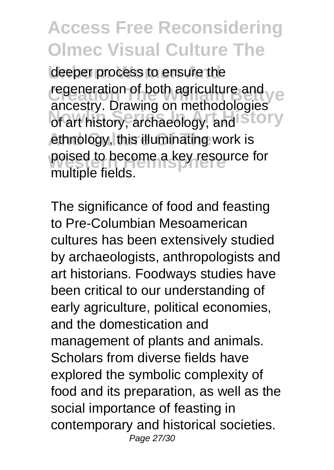deeper process to ensure the **regeneration of both agriculture and year of both agriculture and year** anoselly: Draming on mollicology.com ethnology, this illuminating work is poised to become a key resource for ancestry. Drawing on methodologies<br>of art bistory, archaeology, and STOTY multiple fields.

The significance of food and feasting to Pre-Columbian Mesoamerican cultures has been extensively studied by archaeologists, anthropologists and art historians. Foodways studies have been critical to our understanding of early agriculture, political economies, and the domestication and management of plants and animals. Scholars from diverse fields have explored the symbolic complexity of food and its preparation, as well as the social importance of feasting in contemporary and historical societies. Page 27/30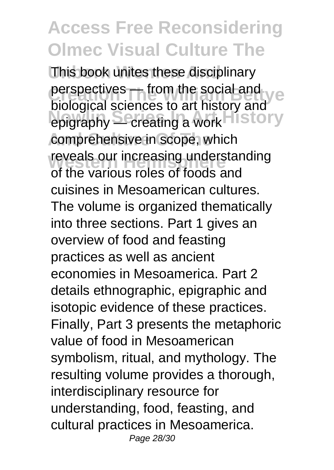This book unites these disciplinary **Perspectives — from the social and yet Existence In Art History**<br>
epigraphy — creating a work **History** comprehensive in scope, which reveals our increasing understanding biological sciences to art history and of the various roles of foods and cuisines in Mesoamerican cultures. The volume is organized thematically into three sections. Part 1 gives an overview of food and feasting practices as well as ancient economies in Mesoamerica. Part 2 details ethnographic, epigraphic and isotopic evidence of these practices. Finally, Part 3 presents the metaphoric value of food in Mesoamerican symbolism, ritual, and mythology. The resulting volume provides a thorough, interdisciplinary resource for understanding, food, feasting, and cultural practices in Mesoamerica. Page 28/30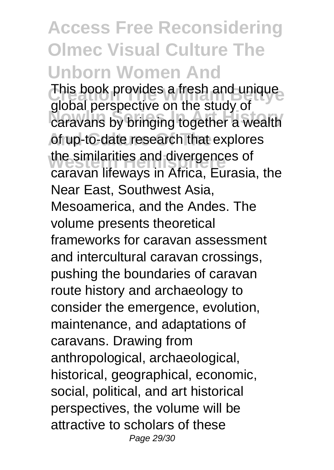**Access Free Reconsidering Olmec Visual Culture The Unborn Women And** This book provides a fresh and unique **Nowlin Series In Art History** caravans by bringing together a wealth of up-to-date research that explores the similarities and divergences of global perspective on the study of caravan lifeways in Africa, Eurasia, the Near East, Southwest Asia, Mesoamerica, and the Andes. The volume presents theoretical frameworks for caravan assessment and intercultural caravan crossings, pushing the boundaries of caravan route history and archaeology to consider the emergence, evolution, maintenance, and adaptations of caravans. Drawing from anthropological, archaeological, historical, geographical, economic, social, political, and art historical perspectives, the volume will be attractive to scholars of these Page 29/30